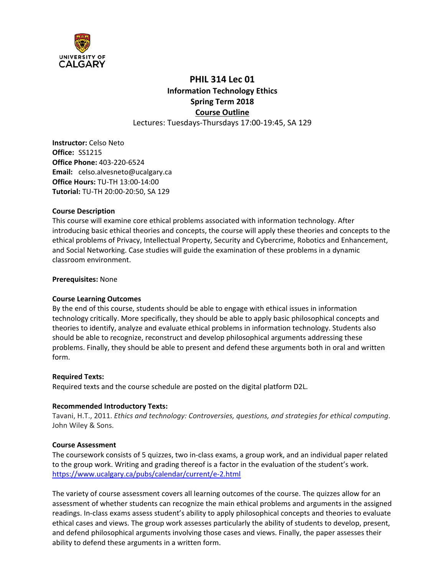

# **PHIL 314 Lec 01 Information Technology Ethics Spring Term 2018 Course Outline**

Lectures: Tuesdays‐Thursdays 17:00‐19:45, SA 129

**Instructor:** Celso Neto **Office:**  SS1215  **Office Phone:** 403‐220‐6524 **Email:**  celso.alvesneto@ucalgary.ca **Office Hours:** TU‐TH 13:00‐14:00 **Tutorial:** TU‐TH 20:00‐20:50, SA 129

#### **Course Description**

This course will examine core ethical problems associated with information technology. After introducing basic ethical theories and concepts, the course will apply these theories and concepts to the ethical problems of Privacy, Intellectual Property, Security and Cybercrime, Robotics and Enhancement, and Social Networking. Case studies will guide the examination of these problems in a dynamic classroom environment.

#### **Prerequisites:** None

#### **Course Learning Outcomes**

By the end of this course, students should be able to engage with ethical issues in information technology critically. More specifically, they should be able to apply basic philosophical concepts and theories to identify, analyze and evaluate ethical problems in information technology. Students also should be able to recognize, reconstruct and develop philosophical arguments addressing these problems. Finally, they should be able to present and defend these arguments both in oral and written form.

#### **Required Texts:**

Required texts and the course schedule are posted on the digital platform D2L.

#### **Recommended Introductory Texts:**

Tavani, H.T., 2011. *Ethics and technology: Controversies, questions, and strategies for ethical computing*. John Wiley & Sons.

#### **Course Assessment**

The coursework consists of 5 quizzes, two in‐class exams, a group work, and an individual paper related to the group work. Writing and grading thereof is a factor in the evaluation of the student's work. https://www.ucalgary.ca/pubs/calendar/current/e‐2.html

The variety of course assessment covers all learning outcomes of the course. The quizzes allow for an assessment of whether students can recognize the main ethical problems and arguments in the assigned readings. In-class exams assess student's ability to apply philosophical concepts and theories to evaluate ethical cases and views. The group work assesses particularly the ability of students to develop, present, and defend philosophical arguments involving those cases and views. Finally, the paper assesses their ability to defend these arguments in a written form.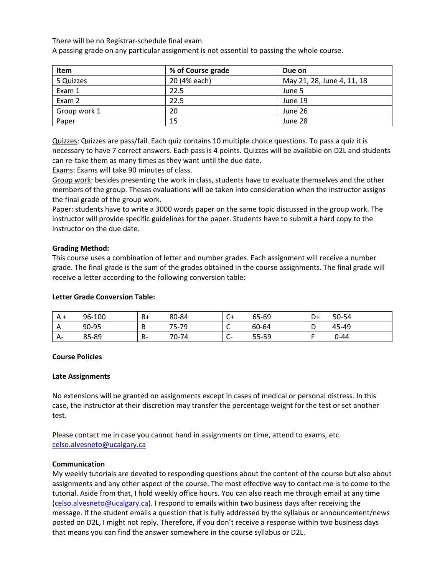There will be no Registrar‐schedule final exam.

A passing grade on any particular assignment is not essential to passing the whole course.

| Item         | % of Course grade | Due on                     |
|--------------|-------------------|----------------------------|
| 5 Quizzes    | 20 (4% each)      | May 21, 28, June 4, 11, 18 |
| Exam 1       | 22.5              | June 5                     |
| Exam 2       | 22.5              | June 19                    |
| Group work 1 | 20                | June 26                    |
| Paper        | 15                | June 28                    |

Quizzes: Quizzes are pass/fail. Each quiz contains 10 multiple choice questions. To pass a quiz it is necessary to have 7 correct answers. Each pass is 4 points. Quizzes will be available on D2L and students can re‐take them as many times as they want until the due date.

Exams: Exams will take 90 minutes of class.

Group work: besides presenting the work in class, students have to evaluate themselves and the other members of the group. Theses evaluations will be taken into consideration when the instructor assigns the final grade of the group work.

Paper: students have to write a 3000 words paper on the same topic discussed in the group work. The instructor will provide specific guidelines for the paper. Students have to submit a hard copy to the instructor on the due date.

#### **Grading Method:**

This course uses a combination of letter and number grades. Each assignment will receive a number grade. The final grade is the sum of the grades obtained in the course assignments. The final grade will receive a letter according to the following conversion table:

#### **Letter Grade Conversion Table:**

| A + | 96-100 | B+ | 80-84 | $\sim$<br>U+                                | 65-69 | D+ | 50-54 |
|-----|--------|----|-------|---------------------------------------------|-------|----|-------|
| A   | 90-95  | D  | 75-79 | $\overline{\phantom{0}}$<br>∼               | 60-64 |    | 45-49 |
| А-  | 85-89  | B- | 70-74 | $\sqrt{2}$<br>$\overline{\phantom{0}}$<br>֊ | 55-59 |    | 0-44  |

#### **Course Policies**

#### **Late Assignments**

No extensions will be granted on assignments except in cases of medical or personal distress. In this case, the instructor at their discretion may transfer the percentage weight for the test or set another test.

Please contact me in case you cannot hand in assignments on time, attend to exams, etc. celso.alvesneto@ucalgary.ca

#### **Communication**

My weekly tutorials are devoted to responding questions about the content of the course but also about assignments and any other aspect of the course. The most effective way to contact me is to come to the tutorial. Aside from that, I hold weekly office hours. You can also reach me through email at any time (celso.alvesneto@ucalgary.ca). I respond to emails within two business days after receiving the message. If the student emails a question that is fully addressed by the syllabus or announcement/news posted on D2L, I might not reply. Therefore, if you don't receive a response within two business days that means you can find the answer somewhere in the course syllabus or D2L.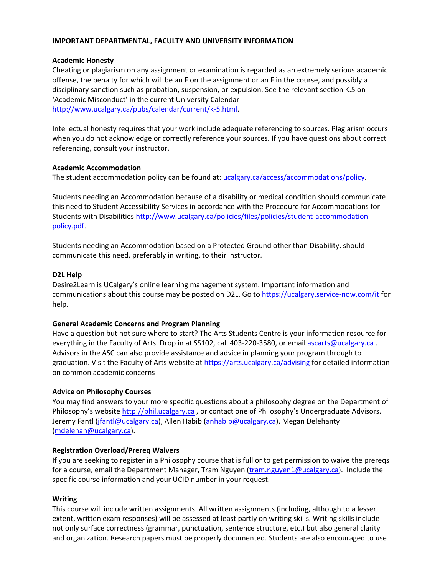#### **IMPORTANT DEPARTMENTAL, FACULTY AND UNIVERSITY INFORMATION**

#### **Academic Honesty**

Cheating or plagiarism on any assignment or examination is regarded as an extremely serious academic offense, the penalty for which will be an F on the assignment or an F in the course, and possibly a disciplinary sanction such as probation, suspension, or expulsion. See the relevant section K.5 on 'Academic Misconduct' in the current University Calendar http://www.ucalgary.ca/pubs/calendar/current/k‐5.html.

Intellectual honesty requires that your work include adequate referencing to sources. Plagiarism occurs when you do not acknowledge or correctly reference your sources. If you have questions about correct referencing, consult your instructor.

#### **Academic Accommodation**

The student accommodation policy can be found at: ucalgary.ca/access/accommodations/policy.

Students needing an Accommodation because of a disability or medical condition should communicate this need to Student Accessibility Services in accordance with the Procedure for Accommodations for Students with Disabilities http://www.ucalgary.ca/policies/files/policies/student‐accommodation‐ policy.pdf.

Students needing an Accommodation based on a Protected Ground other than Disability, should communicate this need, preferably in writing, to their instructor.

#### **D2L Help**

Desire2Learn is UCalgary's online learning management system. Important information and communications about this course may be posted on D2L. Go to https://ucalgary.service-now.com/it for help.

#### **General Academic Concerns and Program Planning**

Have a question but not sure where to start? The Arts Students Centre is your information resource for everything in the Faculty of Arts. Drop in at SS102, call 403-220-3580, or email ascarts@ucalgary.ca. Advisors in the ASC can also provide assistance and advice in planning your program through to graduation. Visit the Faculty of Arts website at https://arts.ucalgary.ca/advising for detailed information on common academic concerns

#### **Advice on Philosophy Courses**

You may find answers to your more specific questions about a philosophy degree on the Department of Philosophy's website http://phil.ucalgary.ca , or contact one of Philosophy's Undergraduate Advisors. Jeremy Fantl (jfantl@ucalgary.ca), Allen Habib (anhabib@ucalgary.ca), Megan Delehanty (mdelehan@ucalgary.ca).

#### **Registration Overload/Prereq Waivers**

If you are seeking to register in a Philosophy course that is full or to get permission to waive the prereqs for a course, email the Department Manager, Tram Nguyen (tram.nguyen1@ucalgary.ca). Include the specific course information and your UCID number in your request.

#### **Writing**

This course will include written assignments. All written assignments (including, although to a lesser extent, written exam responses) will be assessed at least partly on writing skills. Writing skills include not only surface correctness (grammar, punctuation, sentence structure, etc.) but also general clarity and organization. Research papers must be properly documented. Students are also encouraged to use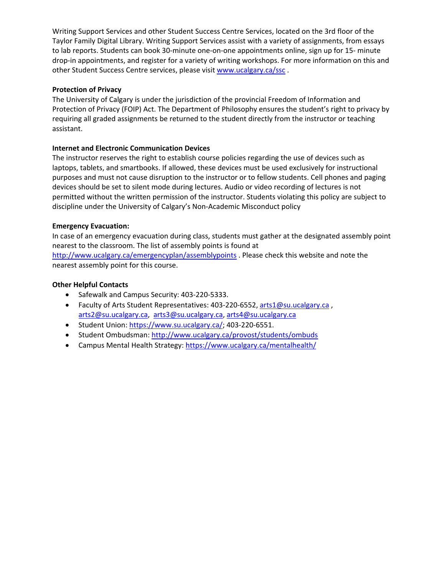Writing Support Services and other Student Success Centre Services, located on the 3rd floor of the Taylor Family Digital Library. Writing Support Services assist with a variety of assignments, from essays to lab reports. Students can book 30‐minute one‐on‐one appointments online, sign up for 15‐ minute drop‐in appointments, and register for a variety of writing workshops. For more information on this and other Student Success Centre services, please visit www.ucalgary.ca/ssc.

# **Protection of Privacy**

The University of Calgary is under the jurisdiction of the provincial Freedom of Information and Protection of Privacy (FOIP) Act. The Department of Philosophy ensures the student's right to privacy by requiring all graded assignments be returned to the student directly from the instructor or teaching assistant.

# **Internet and Electronic Communication Devices**

The instructor reserves the right to establish course policies regarding the use of devices such as laptops, tablets, and smartbooks. If allowed, these devices must be used exclusively for instructional purposes and must not cause disruption to the instructor or to fellow students. Cell phones and paging devices should be set to silent mode during lectures. Audio or video recording of lectures is not permitted without the written permission of the instructor. Students violating this policy are subject to discipline under the University of Calgary's Non‐Academic Misconduct policy

# **Emergency Evacuation:**

In case of an emergency evacuation during class, students must gather at the designated assembly point nearest to the classroom. The list of assembly points is found at http://www.ucalgary.ca/emergencyplan/assemblypoints . Please check this website and note the nearest assembly point for this course.

# **Other Helpful Contacts**

- Safewalk and Campus Security: 403-220-5333.
- Faculty of Arts Student Representatives: 403-220-6552, arts1@su.ucalgary.ca, arts2@su.ucalgary.ca, arts3@su.ucalgary.ca, arts4@su.ucalgary.ca
- Student Union: https://www.su.ucalgary.ca/; 403-220-6551.
- Student Ombudsman: http://www.ucalgary.ca/provost/students/ombuds
- Campus Mental Health Strategy: https://www.ucalgary.ca/mentalhealth/